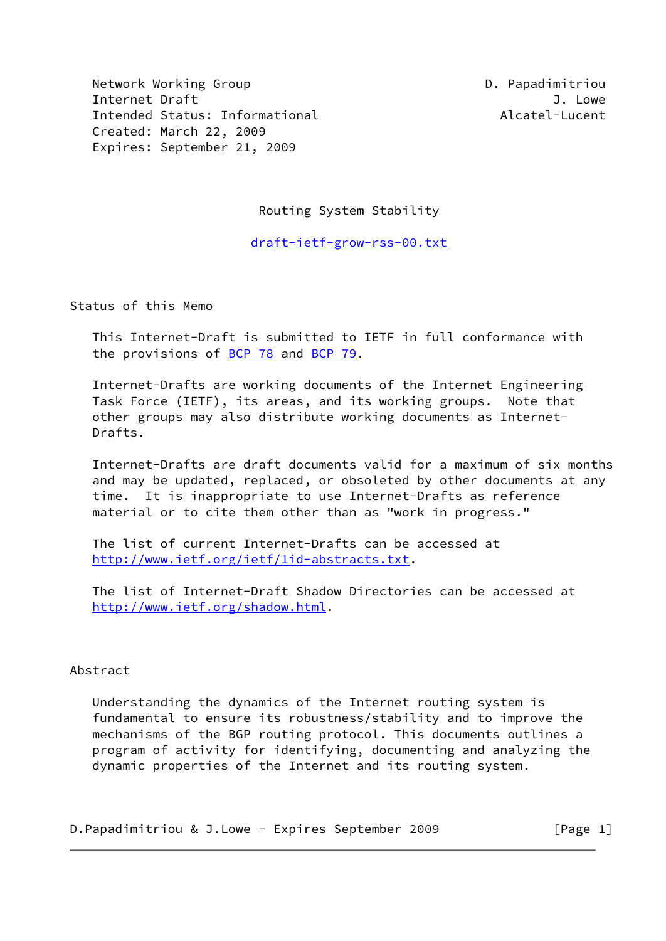Network Working Group D. Papadimitriou Internet Draft J. Lowe Intended Status: Informational and Alcatel-Lucent Created: March 22, 2009 Expires: September 21, 2009

Routing System Stability

[draft-ietf-grow-rss-00.txt](https://datatracker.ietf.org/doc/pdf/draft-ietf-grow-rss-00.txt)

Status of this Memo

 This Internet-Draft is submitted to IETF in full conformance with the provisions of [BCP 78](https://datatracker.ietf.org/doc/pdf/bcp78) and [BCP 79](https://datatracker.ietf.org/doc/pdf/bcp79).

 Internet-Drafts are working documents of the Internet Engineering Task Force (IETF), its areas, and its working groups. Note that other groups may also distribute working documents as Internet- Drafts.

 Internet-Drafts are draft documents valid for a maximum of six months and may be updated, replaced, or obsoleted by other documents at any time. It is inappropriate to use Internet-Drafts as reference material or to cite them other than as "work in progress."

 The list of current Internet-Drafts can be accessed at <http://www.ietf.org/ietf/1id-abstracts.txt>.

 The list of Internet-Draft Shadow Directories can be accessed at <http://www.ietf.org/shadow.html>.

## Abstract

 Understanding the dynamics of the Internet routing system is fundamental to ensure its robustness/stability and to improve the mechanisms of the BGP routing protocol. This documents outlines a program of activity for identifying, documenting and analyzing the dynamic properties of the Internet and its routing system.

D.Papadimitriou & J.Lowe - Expires September 2009 [Page 1]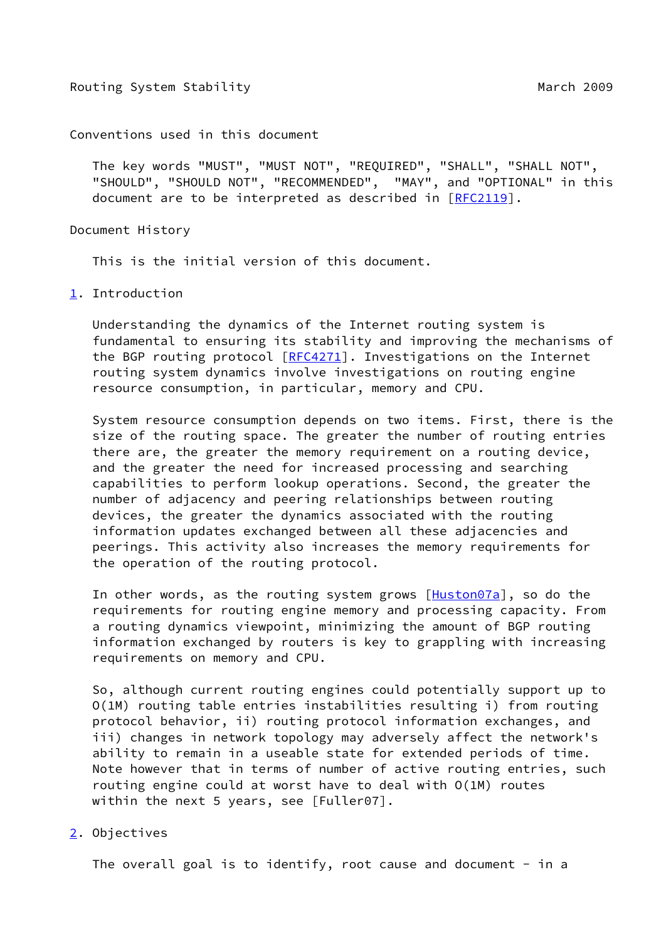Conventions used in this document

 The key words "MUST", "MUST NOT", "REQUIRED", "SHALL", "SHALL NOT", "SHOULD", "SHOULD NOT", "RECOMMENDED", "MAY", and "OPTIONAL" in this document are to be interpreted as described in [\[RFC2119](https://datatracker.ietf.org/doc/pdf/rfc2119)].

Document History

This is the initial version of this document.

<span id="page-1-0"></span>[1](#page-1-0). Introduction

 Understanding the dynamics of the Internet routing system is fundamental to ensuring its stability and improving the mechanisms of the BGP routing protocol [\[RFC4271](https://datatracker.ietf.org/doc/pdf/rfc4271)]. Investigations on the Internet routing system dynamics involve investigations on routing engine resource consumption, in particular, memory and CPU.

 System resource consumption depends on two items. First, there is the size of the routing space. The greater the number of routing entries there are, the greater the memory requirement on a routing device, and the greater the need for increased processing and searching capabilities to perform lookup operations. Second, the greater the number of adjacency and peering relationships between routing devices, the greater the dynamics associated with the routing information updates exchanged between all these adjacencies and peerings. This activity also increases the memory requirements for the operation of the routing protocol.

In other words, as the routing system grows  $[Huston07a]$  $[Huston07a]$ , so do the requirements for routing engine memory and processing capacity. From a routing dynamics viewpoint, minimizing the amount of BGP routing information exchanged by routers is key to grappling with increasing requirements on memory and CPU.

 So, although current routing engines could potentially support up to O(1M) routing table entries instabilities resulting i) from routing protocol behavior, ii) routing protocol information exchanges, and iii) changes in network topology may adversely affect the network's ability to remain in a useable state for extended periods of time. Note however that in terms of number of active routing entries, such routing engine could at worst have to deal with O(1M) routes within the next 5 years, see [Fuller07].

<span id="page-1-1"></span>[2](#page-1-1). Objectives

The overall goal is to identify, root cause and document  $-$  in a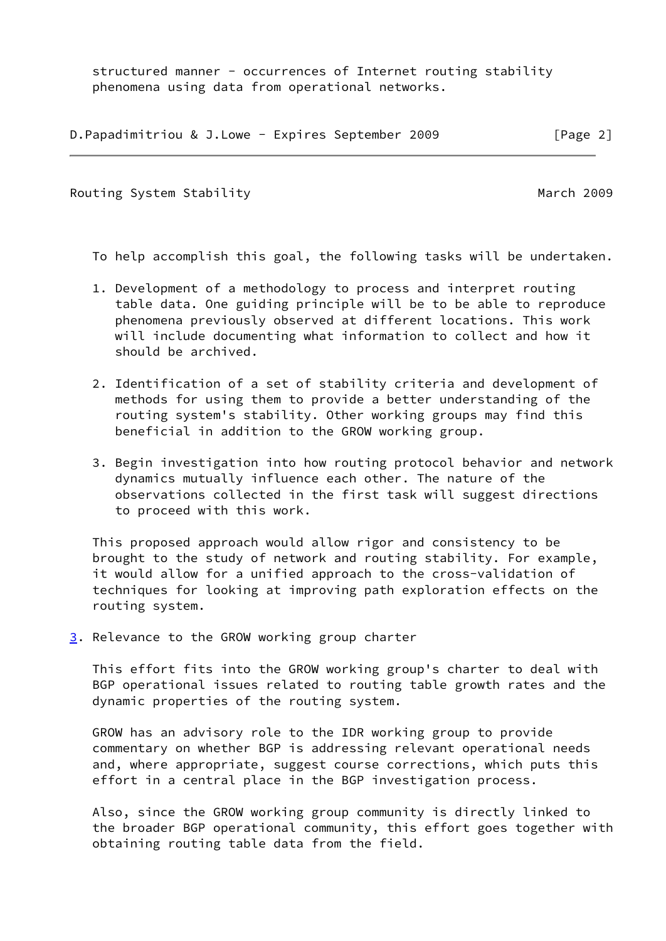structured manner - occurrences of Internet routing stability phenomena using data from operational networks.

|  |  |  | D. Papadimitriou & J. Lowe - Expires September 2009 | [Page 2] |
|--|--|--|-----------------------------------------------------|----------|
|--|--|--|-----------------------------------------------------|----------|

Routing System Stability **March 2009** March 2009

To help accomplish this goal, the following tasks will be undertaken.

- 1. Development of a methodology to process and interpret routing table data. One guiding principle will be to be able to reproduce phenomena previously observed at different locations. This work will include documenting what information to collect and how it should be archived.
- 2. Identification of a set of stability criteria and development of methods for using them to provide a better understanding of the routing system's stability. Other working groups may find this beneficial in addition to the GROW working group.
- 3. Begin investigation into how routing protocol behavior and network dynamics mutually influence each other. The nature of the observations collected in the first task will suggest directions to proceed with this work.

 This proposed approach would allow rigor and consistency to be brought to the study of network and routing stability. For example, it would allow for a unified approach to the cross-validation of techniques for looking at improving path exploration effects on the routing system.

<span id="page-2-0"></span>[3](#page-2-0). Relevance to the GROW working group charter

 This effort fits into the GROW working group's charter to deal with BGP operational issues related to routing table growth rates and the dynamic properties of the routing system.

 GROW has an advisory role to the IDR working group to provide commentary on whether BGP is addressing relevant operational needs and, where appropriate, suggest course corrections, which puts this effort in a central place in the BGP investigation process.

 Also, since the GROW working group community is directly linked to the broader BGP operational community, this effort goes together with obtaining routing table data from the field.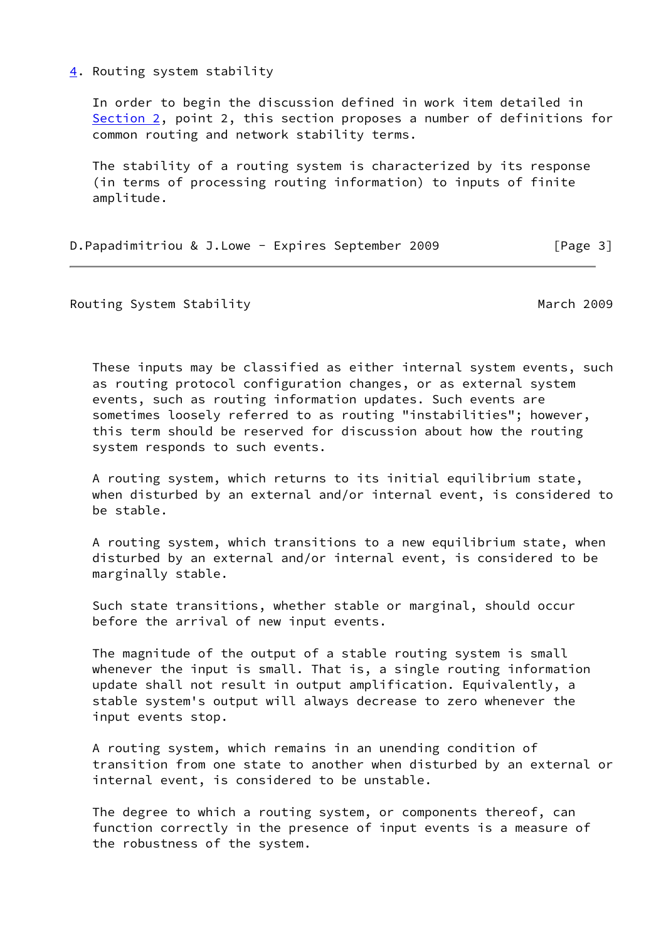## <span id="page-3-0"></span>[4](#page-3-0). Routing system stability

 In order to begin the discussion defined in work item detailed in [Section 2](#page-1-1), point 2, this section proposes a number of definitions for common routing and network stability terms.

 The stability of a routing system is characterized by its response (in terms of processing routing information) to inputs of finite amplitude.

| D. Papadimitriou & J. Lowe - Expires September 2009 | [Page 3] |  |
|-----------------------------------------------------|----------|--|
|-----------------------------------------------------|----------|--|

Routing System Stability **March 2009** March 2009

 These inputs may be classified as either internal system events, such as routing protocol configuration changes, or as external system events, such as routing information updates. Such events are sometimes loosely referred to as routing "instabilities"; however, this term should be reserved for discussion about how the routing system responds to such events.

 A routing system, which returns to its initial equilibrium state, when disturbed by an external and/or internal event, is considered to be stable.

 A routing system, which transitions to a new equilibrium state, when disturbed by an external and/or internal event, is considered to be marginally stable.

 Such state transitions, whether stable or marginal, should occur before the arrival of new input events.

 The magnitude of the output of a stable routing system is small whenever the input is small. That is, a single routing information update shall not result in output amplification. Equivalently, a stable system's output will always decrease to zero whenever the input events stop.

 A routing system, which remains in an unending condition of transition from one state to another when disturbed by an external or internal event, is considered to be unstable.

 The degree to which a routing system, or components thereof, can function correctly in the presence of input events is a measure of the robustness of the system.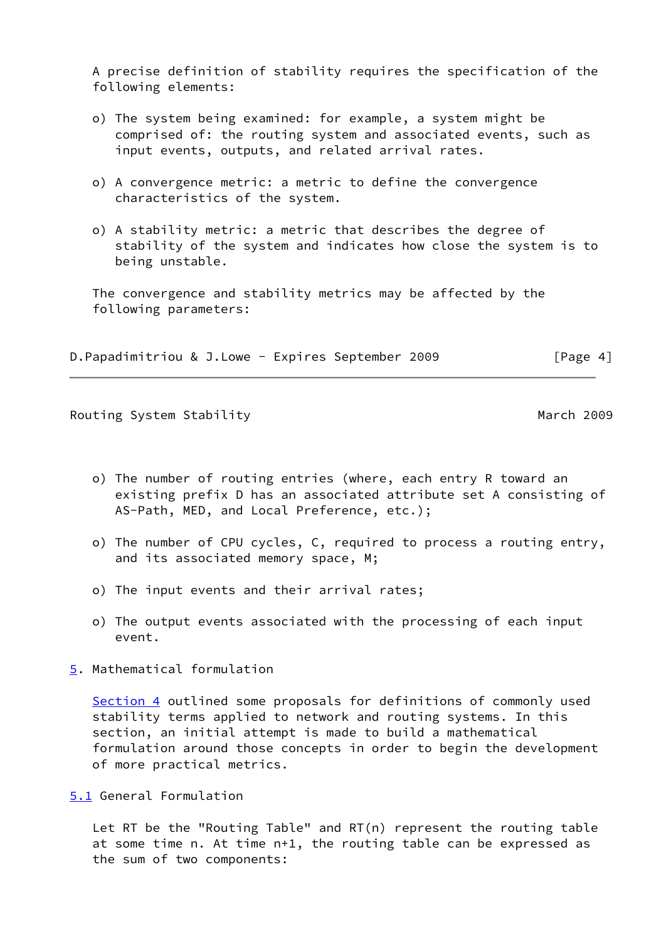A precise definition of stability requires the specification of the following elements:

- o) The system being examined: for example, a system might be comprised of: the routing system and associated events, such as input events, outputs, and related arrival rates.
- o) A convergence metric: a metric to define the convergence characteristics of the system.
- o) A stability metric: a metric that describes the degree of stability of the system and indicates how close the system is to being unstable.

 The convergence and stability metrics may be affected by the following parameters:

D.Papadimitriou & J.Lowe - Expires September 2009 [Page 4]

Routing System Stability **March 2009** March 2009

- o) The number of routing entries (where, each entry R toward an existing prefix D has an associated attribute set A consisting of AS-Path, MED, and Local Preference, etc.);
- o) The number of CPU cycles, C, required to process a routing entry, and its associated memory space, M;
- o) The input events and their arrival rates;
- o) The output events associated with the processing of each input event.
- <span id="page-4-0"></span>[5](#page-4-0). Mathematical formulation

[Section 4](#page-3-0) outlined some proposals for definitions of commonly used stability terms applied to network and routing systems. In this section, an initial attempt is made to build a mathematical formulation around those concepts in order to begin the development of more practical metrics.

<span id="page-4-1"></span>[5.1](#page-4-1) General Formulation

 Let RT be the "Routing Table" and RT(n) represent the routing table at some time n. At time n+1, the routing table can be expressed as the sum of two components: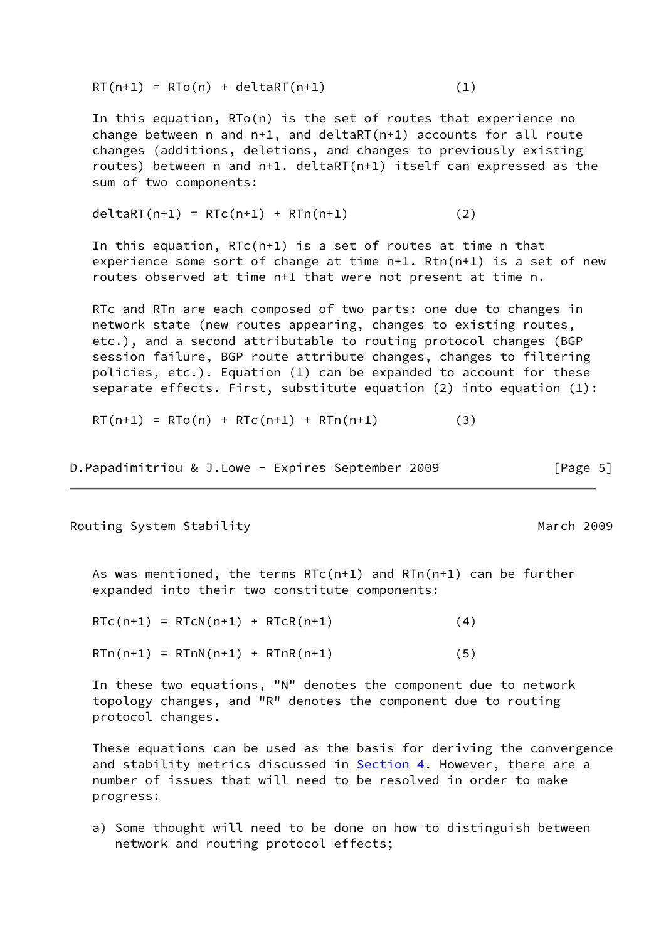$RT(n+1) = RTo(n) + deltART(n+1)$  (1)

 In this equation, RTo(n) is the set of routes that experience no change between n and n+1, and deltaRT(n+1) accounts for all route changes (additions, deletions, and changes to previously existing routes) between n and n+1. deltaRT(n+1) itself can expressed as the sum of two components:

deltaRT( $n+1$ ) = RTc( $n+1$ ) + RTn( $n+1$ ) (2)

In this equation,  $RTc(n+1)$  is a set of routes at time n that experience some sort of change at time n+1. Rtn(n+1) is a set of new routes observed at time n+1 that were not present at time n.

 RTc and RTn are each composed of two parts: one due to changes in network state (new routes appearing, changes to existing routes, etc.), and a second attributable to routing protocol changes (BGP session failure, BGP route attribute changes, changes to filtering policies, etc.). Equation (1) can be expanded to account for these separate effects. First, substitute equation (2) into equation (1):

 $RT(n+1) = RTo(n) + RTc(n+1) + RTn(n+1)$  (3)

D.Papadimitriou & J.Lowe - Expires September 2009 [Page 5]

Routing System Stability **March 2009** March 2009

As was mentioned, the terms  $RTC(n+1)$  and  $RTr(n+1)$  can be further expanded into their two constitute components:

 $RTC(n+1) = RTCN(n+1) + RTCR(n+1)$  (4)  $RTn(n+1) = RTnN(n+1) + RTnR(n+1)$  (5)

 In these two equations, "N" denotes the component due to network topology changes, and "R" denotes the component due to routing protocol changes.

 These equations can be used as the basis for deriving the convergence and stability metrics discussed in **[Section 4.](#page-3-0)** However, there are a number of issues that will need to be resolved in order to make progress:

 a) Some thought will need to be done on how to distinguish between network and routing protocol effects;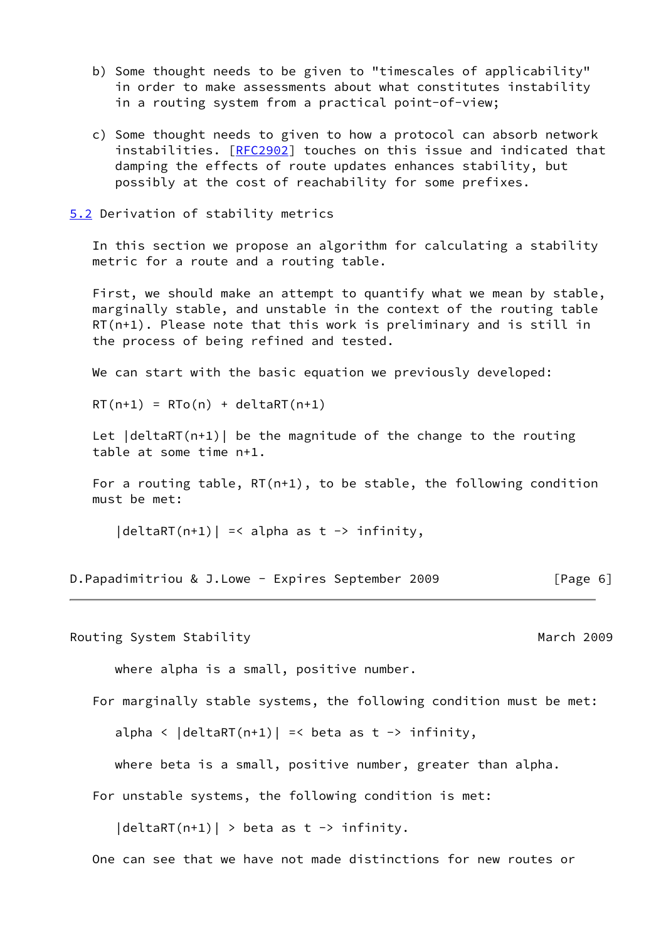- b) Some thought needs to be given to "timescales of applicability" in order to make assessments about what constitutes instability in a routing system from a practical point-of-view;
- c) Some thought needs to given to how a protocol can absorb network instabilities. [[RFC2902](https://datatracker.ietf.org/doc/pdf/rfc2902)] touches on this issue and indicated that damping the effects of route updates enhances stability, but possibly at the cost of reachability for some prefixes.
- <span id="page-6-0"></span>[5.2](#page-6-0) Derivation of stability metrics

 In this section we propose an algorithm for calculating a stability metric for a route and a routing table.

 First, we should make an attempt to quantify what we mean by stable, marginally stable, and unstable in the context of the routing table RT(n+1). Please note that this work is preliminary and is still in the process of being refined and tested.

We can start with the basic equation we previously developed:

 $RT(n+1) = RTo(n) + deltART(n+1)$ 

Let  $|deltaRT(n+1)|$  be the magnitude of the change to the routing table at some time n+1.

 For a routing table, RT(n+1), to be stable, the following condition must be met:

 $|deltaRT(n+1)|$  =< alpha as t -> infinity,

D.Papadimitriou & J.Lowe - Expires September 2009 [Page 6]

Routing System Stability **March 2009** March 2009

where alpha is a small, positive number.

For marginally stable systems, the following condition must be met:

alpha <  $|delta(R+1)|$  =< beta as t -> infinity,

where beta is a small, positive number, greater than alpha.

For unstable systems, the following condition is met:

 $|deltaRT(n+1)|$  > beta as t -> infinity.

One can see that we have not made distinctions for new routes or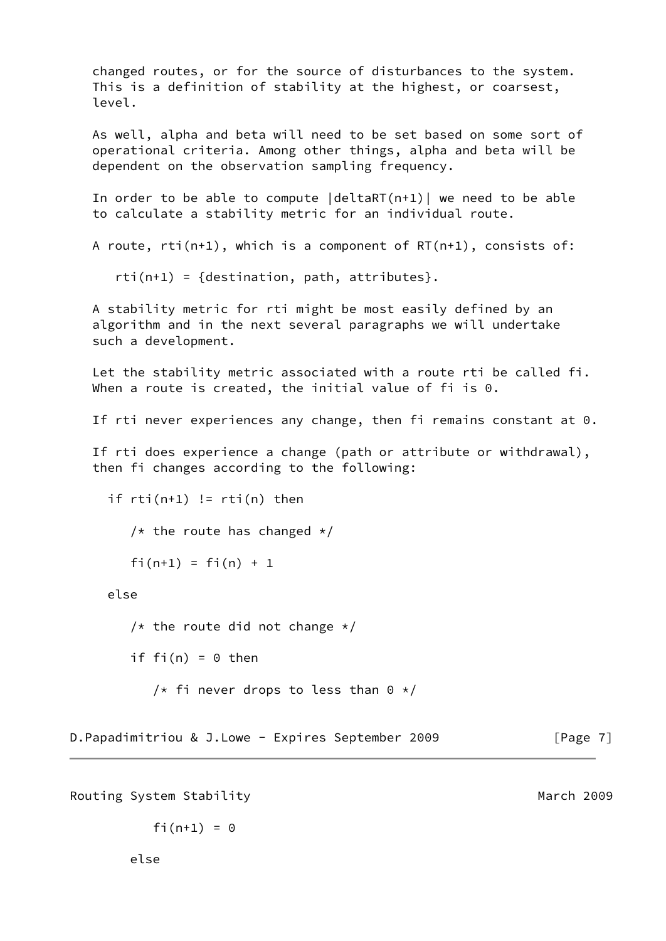changed routes, or for the source of disturbances to the system. This is a definition of stability at the highest, or coarsest, level.

 As well, alpha and beta will need to be set based on some sort of operational criteria. Among other things, alpha and beta will be dependent on the observation sampling frequency.

 In order to be able to compute |deltaRT(n+1)| we need to be able to calculate a stability metric for an individual route.

A route, rti(n+1), which is a component of RT(n+1), consists of:

 $rti(n+1) = {destination, path, attributes}.$ 

 A stability metric for rti might be most easily defined by an algorithm and in the next several paragraphs we will undertake such a development.

 Let the stability metric associated with a route rti be called fi. When a route is created, the initial value of fi is 0.

If rti never experiences any change, then fi remains constant at 0.

 If rti does experience a change (path or attribute or withdrawal), then fi changes according to the following:

```
if rti(n+1) != rti(n) then
/* the route has changed */fi(n+1) = fi(n) + 1
```
else

```
/* the route did not change */if fi(n) = 0 then
/* fi never drops to less than 0 */
```
D.Papadimitriou & J.Lowe - Expires September 2009 [Page 7]

Routing System Stability **March 2009** March 2009

$$
fi(n+1) = 0
$$

else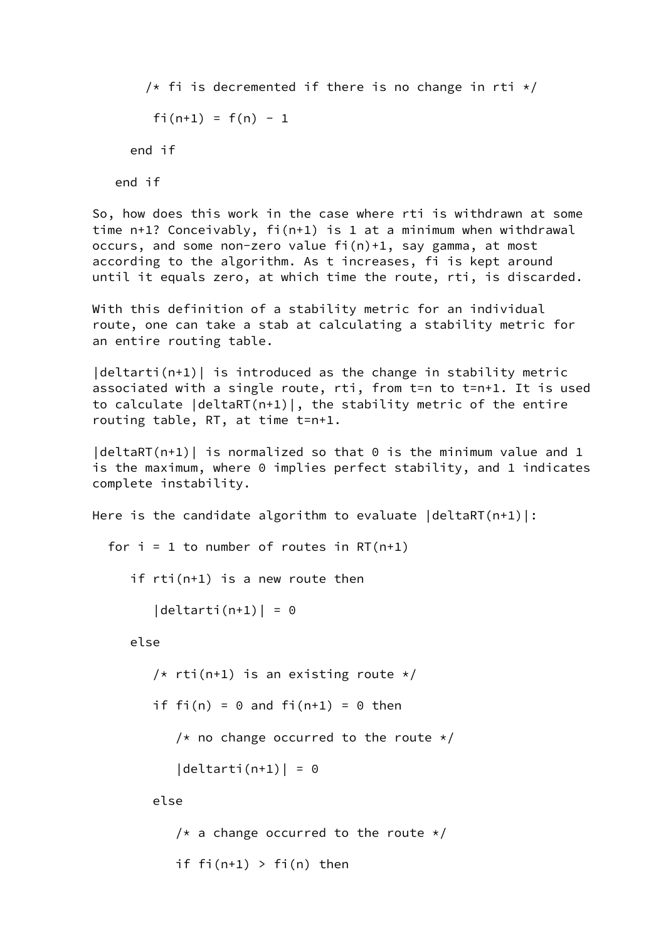/\* fi is decremented if there is no change in rti  $*/$ fi(n+1) =  $f(n)$  - 1 end if end if So, how does this work in the case where rti is withdrawn at some time n+1? Conceivably, fi(n+1) is 1 at a minimum when withdrawal occurs, and some non-zero value fi(n)+1, say gamma, at most according to the algorithm. As t increases, fi is kept around until it equals zero, at which time the route, rti, is discarded. With this definition of a stability metric for an individual route, one can take a stab at calculating a stability metric for an entire routing table.  $|delta(r+1)|$  is introduced as the change in stability metric associated with a single route, rti, from t=n to t=n+1. It is used to calculate |deltaRT(n+1)|, the stability metric of the entire routing table, RT, at time t=n+1.  $|deltaRT(n+1)|$  is normalized so that  $0$  is the minimum value and 1 is the maximum, where 0 implies perfect stability, and 1 indicates complete instability. Here is the candidate algorithm to evaluate  $|delta(R+1)|$ : for  $i = 1$  to number of routes in RT(n+1) if rti(n+1) is a new route then  $|delta($   $n+1)| = 0$  else /\* rti(n+1) is an existing route  $*/$ if fi(n) =  $0$  and fi(n+1) =  $0$  then /\* no change occurred to the route  $*/$  $|delta($  = 0 else /\* a change occurred to the route  $*/$ if  $fi(n+1) > fi(n)$  then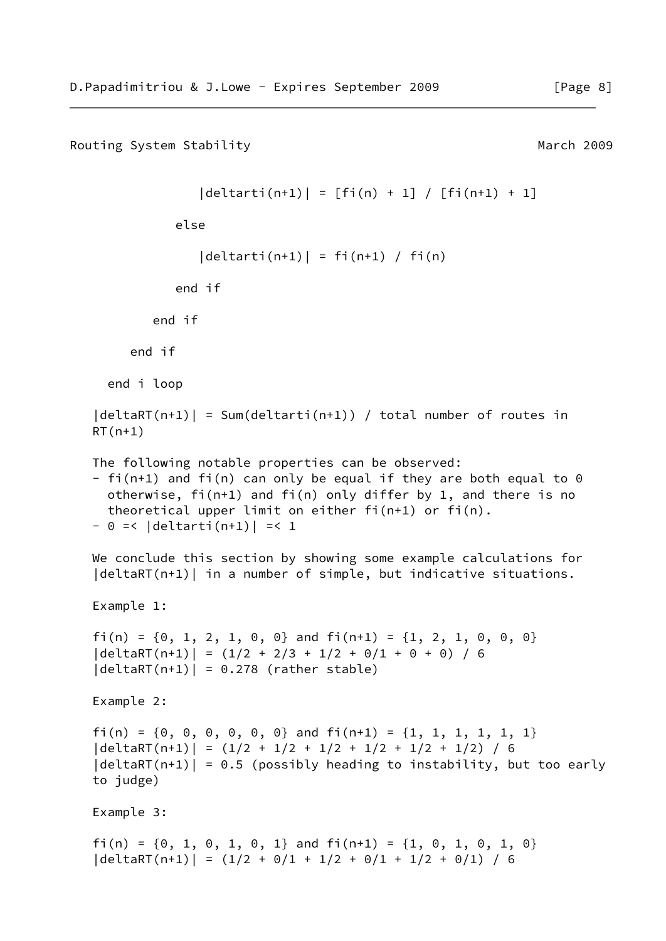```
Routing System Stability March 2009 March 2009
              |delta( n+1) | = [fi(n) + 1] / [fi(n+1) + 1] else
              |delta(1 + 1)| = f_1(n+1) / f_1(n) end if
         end if
      end if
   end i loop
|deltaRT(n+1)| = Sum(detarti(n+1)) / total number of routes inRT(n+1) The following notable properties can be observed:
- fi(n+1) and fi(n) can only be equal if they are both equal to 0 otherwise, fi(n+1) and fi(n) only differ by 1, and there is no
   theoretical upper limit on either fi(n+1) or fi(n).
- 0 = 1 |deltarti(n+1)| =< 1
We conclude this section by showing some example calculations for
|delta(T(n+1))| in a number of simple, but indicative situations.
 Example 1:
fi(n) = \{0, 1, 2, 1, 0, 0\} and fi(n+1) = \{1, 2, 1, 0, 0, 0\}|deltaRT(n+1)| = (1/2 + 2/3 + 1/2 + 0/1 + 0 + 0) / 6|deltaRT(n+1)| = 0.278 (rather stable)
 Example 2:
fi(n) = \{0, 0, 0, 0, 0, 0\} and fi(n+1) = \{1, 1, 1, 1, 1, 1\} |deltaRT(n+1)| = (1/2 + 1/2 + 1/2 + 1/2 + 1/2 + 1/2) / 6
|deltaRT(n+1)| = 0.5 (possibly heading to instability, but too early
 to judge)
 Example 3:
fi(n) = \{0, 1, 0, 1, 0, 1\} and fi(n+1) = \{1, 0, 1, 0, 1, 0\}|deltaRT(n+1)| = (1/2 + 0/1 + 1/2 + 0/1 + 1/2 + 0/1) / 6
```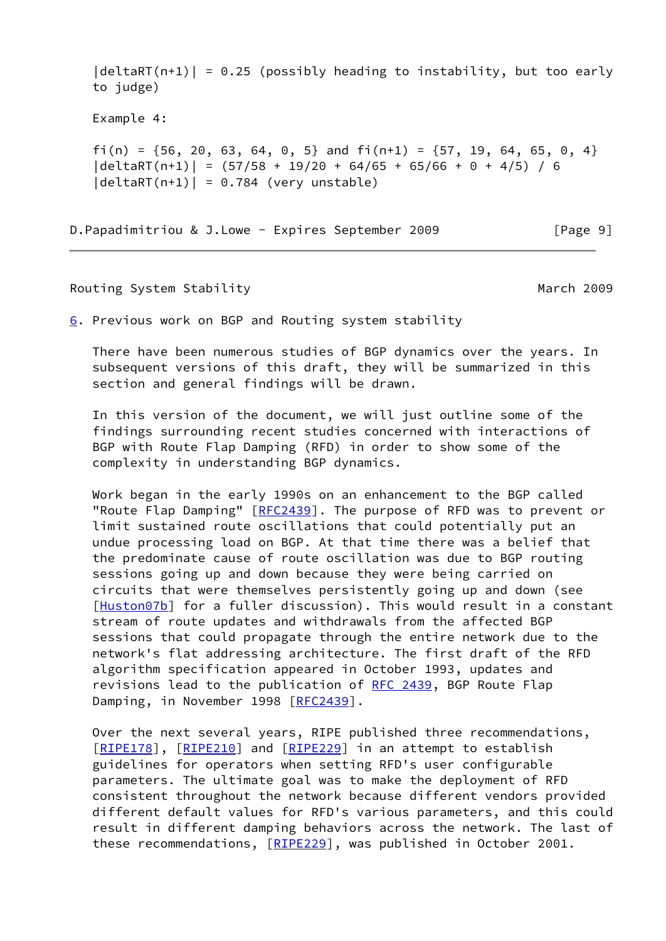$|delta(T(n+1))| = 0.25$  (possibly heading to instability, but too early to judge)

Example 4:

fi(n) =  ${56, 20, 63, 64, 0, 5}$  and fi(n+1) =  ${57, 19, 64, 65, 0, 4}$  $|delta(7n+1)| = (57/58 + 19/20 + 64/65 + 65/66 + 0 + 4/5) / 6$  $|deltaRT(n+1)| = 0.784$  (very unstable)

D.Papadimitriou & J.Lowe - Expires September 2009 [Page 9]

## Routing System Stability **March 2009** March 2009

<span id="page-10-0"></span>[6](#page-10-0). Previous work on BGP and Routing system stability

 There have been numerous studies of BGP dynamics over the years. In subsequent versions of this draft, they will be summarized in this section and general findings will be drawn.

 In this version of the document, we will just outline some of the findings surrounding recent studies concerned with interactions of BGP with Route Flap Damping (RFD) in order to show some of the complexity in understanding BGP dynamics.

 Work began in the early 1990s on an enhancement to the BGP called "Route Flap Damping" [\[RFC2439](https://datatracker.ietf.org/doc/pdf/rfc2439)]. The purpose of RFD was to prevent or limit sustained route oscillations that could potentially put an undue processing load on BGP. At that time there was a belief that the predominate cause of route oscillation was due to BGP routing sessions going up and down because they were being carried on circuits that were themselves persistently going up and down (see [\[Huston07b](#page-12-1)] for a fuller discussion). This would result in a constant stream of route updates and withdrawals from the affected BGP sessions that could propagate through the entire network due to the network's flat addressing architecture. The first draft of the RFD algorithm specification appeared in October 1993, updates and revisions lead to the publication of [RFC 2439](https://datatracker.ietf.org/doc/pdf/rfc2439), BGP Route Flap Damping, in November 1998 [[RFC2439](https://datatracker.ietf.org/doc/pdf/rfc2439)].

 Over the next several years, RIPE published three recommendations, [\[RIPE178](#page-12-2)], [[RIPE210\]](#page-13-0) and [\[RIPE229](#page-13-1)] in an attempt to establish guidelines for operators when setting RFD's user configurable parameters. The ultimate goal was to make the deployment of RFD consistent throughout the network because different vendors provided different default values for RFD's various parameters, and this could result in different damping behaviors across the network. The last of these recommendations, [\[RIPE229](#page-13-1)], was published in October 2001.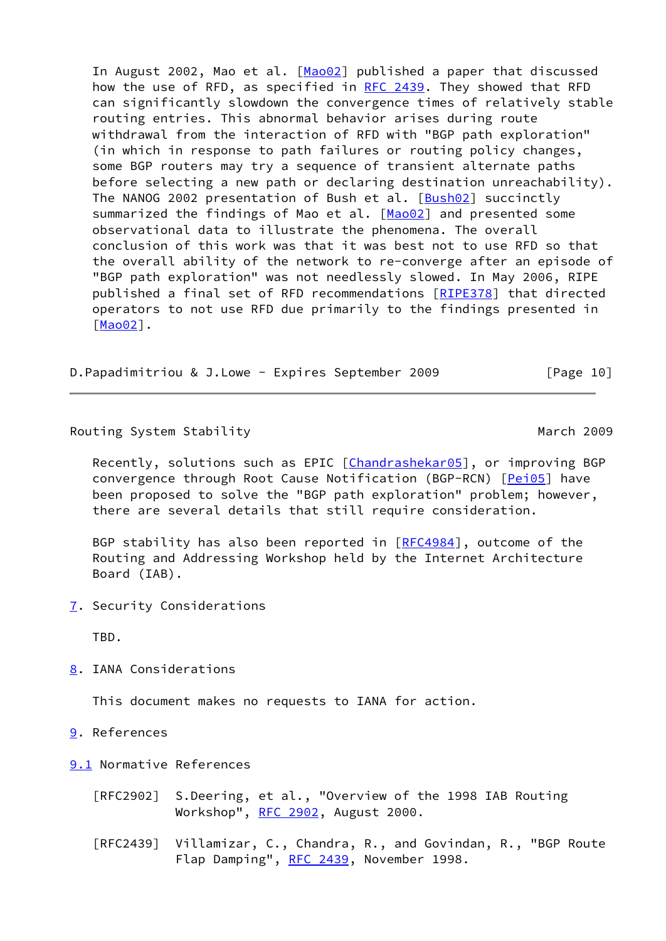In August 2002, Mao et al. [[Mao02\]](#page-12-3) published a paper that discussed how the use of RFD, as specified in [RFC 2439.](https://datatracker.ietf.org/doc/pdf/rfc2439) They showed that RFD can significantly slowdown the convergence times of relatively stable routing entries. This abnormal behavior arises during route withdrawal from the interaction of RFD with "BGP path exploration" (in which in response to path failures or routing policy changes, some BGP routers may try a sequence of transient alternate paths before selecting a new path or declaring destination unreachability). The NANOG 2002 presentation of Bush et al. [[Bush02](#page-12-4)] succinctly summarized the findings of Mao et al. [[Mao02\]](#page-12-3) and presented some observational data to illustrate the phenomena. The overall conclusion of this work was that it was best not to use RFD so that the overall ability of the network to re-converge after an episode of "BGP path exploration" was not needlessly slowed. In May 2006, RIPE published a final set of RFD recommendations [\[RIPE378](#page-13-2)] that directed operators to not use RFD due primarily to the findings presented in [\[Mao02](#page-12-3)].

D.Papadimitriou & J.Lowe - Expires September 2009 [Page 10]

Routing System Stability **March 2009** March 2009

Recently, solutions such as EPIC [\[Chandrashekar05](#page-12-5)], or improving BGP convergence through Root Cause Notification (BGP-RCN) [[Pei05\]](#page-12-6) have been proposed to solve the "BGP path exploration" problem; however, there are several details that still require consideration.

BGP stability has also been reported in [\[RFC4984](https://datatracker.ietf.org/doc/pdf/rfc4984)], outcome of the Routing and Addressing Workshop held by the Internet Architecture Board (IAB).

<span id="page-11-0"></span>[7](#page-11-0). Security Considerations

TBD.

<span id="page-11-1"></span>[8](#page-11-1). IANA Considerations

This document makes no requests to IANA for action.

- <span id="page-11-2"></span>[9](#page-11-2). References
- <span id="page-11-3"></span>[9.1](#page-11-3) Normative References
	- [RFC2902] S.Deering, et al., "Overview of the 1998 IAB Routing Workshop", [RFC 2902](https://datatracker.ietf.org/doc/pdf/rfc2902), August 2000.
	- [RFC2439] Villamizar, C., Chandra, R., and Govindan, R., "BGP Route Flap Damping", [RFC 2439](https://datatracker.ietf.org/doc/pdf/rfc2439), November 1998.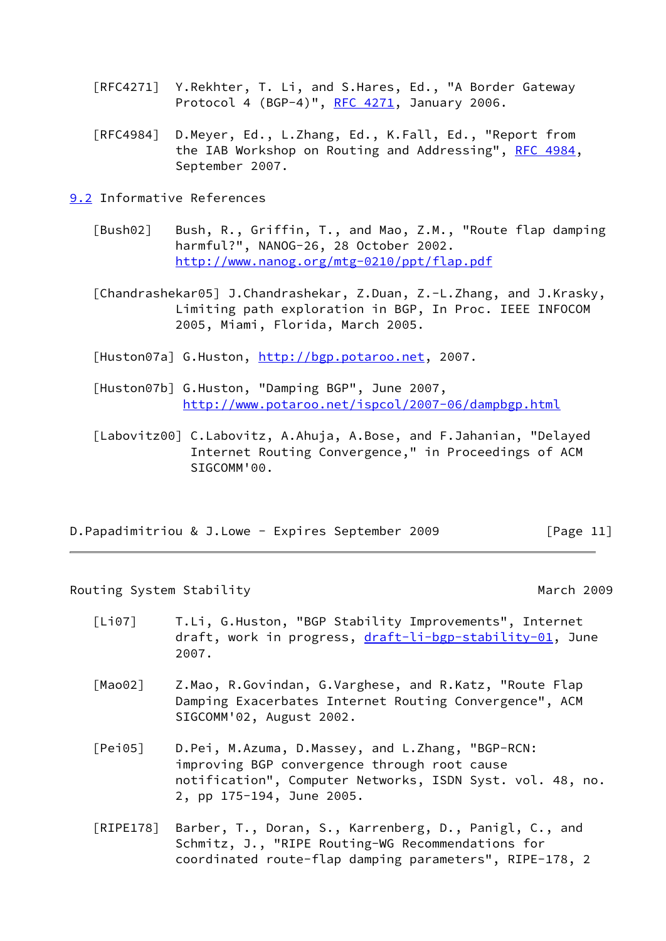- [RFC4271] Y.Rekhter, T. Li, and S.Hares, Ed., "A Border Gateway Protocol 4 (BGP-4)", [RFC 4271](https://datatracker.ietf.org/doc/pdf/rfc4271), January 2006.
- [RFC4984] D.Meyer, Ed., L.Zhang, Ed., K.Fall, Ed., "Report from the IAB Workshop on Routing and Addressing", [RFC 4984](https://datatracker.ietf.org/doc/pdf/rfc4984), September 2007.

<span id="page-12-7"></span>[9.2](#page-12-7) Informative References

<span id="page-12-4"></span> [Bush02] Bush, R., Griffin, T., and Mao, Z.M., "Route flap damping harmful?", NANOG-26, 28 October 2002. <http://www.nanog.org/mtg-0210/ppt/flap.pdf>

<span id="page-12-5"></span>[Chandrashekar05] J.Chandrashekar, Z.Duan, Z.-L.Zhang, and J.Krasky, Limiting path exploration in BGP, In Proc. IEEE INFOCOM 2005, Miami, Florida, March 2005.

<span id="page-12-0"></span>[Huston07a] G.Huston,<http://bgp.potaroo.net>, 2007.

- <span id="page-12-1"></span> [Huston07b] G.Huston, "Damping BGP", June 2007, <http://www.potaroo.net/ispcol/2007-06/dampbgp.html>
- [Labovitz00] C.Labovitz, A.Ahuja, A.Bose, and F.Jahanian, "Delayed Internet Routing Convergence," in Proceedings of ACM SIGCOMM'00.

|  | D. Papadimitriou & J. Lowe - Expires September 2009 | [Page 11] |
|--|-----------------------------------------------------|-----------|
|--|-----------------------------------------------------|-----------|

Routing System Stability **March 2009** March 2009

- [Li07] T.Li, G.Huston, "BGP Stability Improvements", Internet draft, work in progress, [draft-li-bgp-stability-01,](https://datatracker.ietf.org/doc/pdf/draft-li-bgp-stability-01) June 2007.
- <span id="page-12-3"></span>[Mao02] Z.Mao, R.Govindan, G.Varghese, and R.Katz, "Route Flap Damping Exacerbates Internet Routing Convergence", ACM SIGCOMM'02, August 2002.
- <span id="page-12-6"></span> [Pei05] D.Pei, M.Azuma, D.Massey, and L.Zhang, "BGP-RCN: improving BGP convergence through root cause notification", Computer Networks, ISDN Syst. vol. 48, no. 2, pp 175-194, June 2005.
- <span id="page-12-2"></span> [RIPE178] Barber, T., Doran, S., Karrenberg, D., Panigl, C., and Schmitz, J., "RIPE Routing-WG Recommendations for coordinated route-flap damping parameters", RIPE-178, 2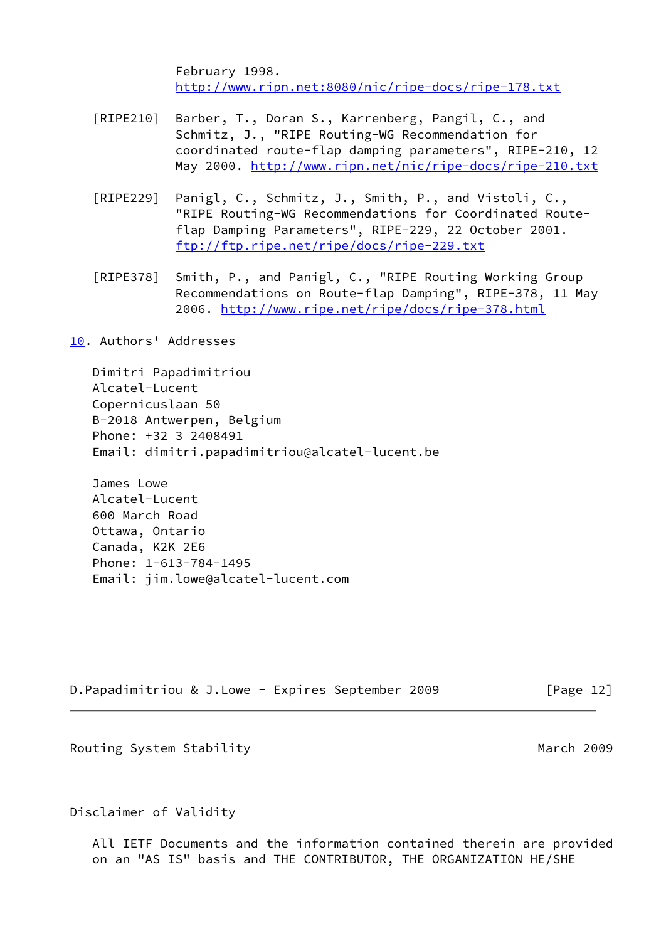February 1998. <http://www.ripn.net:8080/nic/ripe-docs/ripe-178.txt>

- <span id="page-13-0"></span> [RIPE210] Barber, T., Doran S., Karrenberg, Pangil, C., and Schmitz, J., "RIPE Routing-WG Recommendation for coordinated route-flap damping parameters", RIPE-210, 12 May 2000.<http://www.ripn.net/nic/ripe-docs/ripe-210.txt>
- <span id="page-13-1"></span> [RIPE229] Panigl, C., Schmitz, J., Smith, P., and Vistoli, C., "RIPE Routing-WG Recommendations for Coordinated Route flap Damping Parameters", RIPE-229, 22 October 2001. <ftp://ftp.ripe.net/ripe/docs/ripe-229.txt>
- <span id="page-13-2"></span> [RIPE378] Smith, P., and Panigl, C., "RIPE Routing Working Group Recommendations on Route-flap Damping", RIPE-378, 11 May 2006.<http://www.ripe.net/ripe/docs/ripe-378.html>

<span id="page-13-3"></span>[10.](#page-13-3) Authors' Addresses

 Dimitri Papadimitriou Alcatel-Lucent Copernicuslaan 50 B-2018 Antwerpen, Belgium Phone: +32 3 2408491 Email: dimitri.papadimitriou@alcatel-lucent.be

 James Lowe Alcatel-Lucent 600 March Road Ottawa, Ontario Canada, K2K 2E6 Phone: 1-613-784-1495 Email: jim.lowe@alcatel-lucent.com

D.Papadimitriou & J.Lowe - Expires September 2009 [Page 12]

Routing System Stability **March 2009** March 2009

Disclaimer of Validity

 All IETF Documents and the information contained therein are provided on an "AS IS" basis and THE CONTRIBUTOR, THE ORGANIZATION HE/SHE